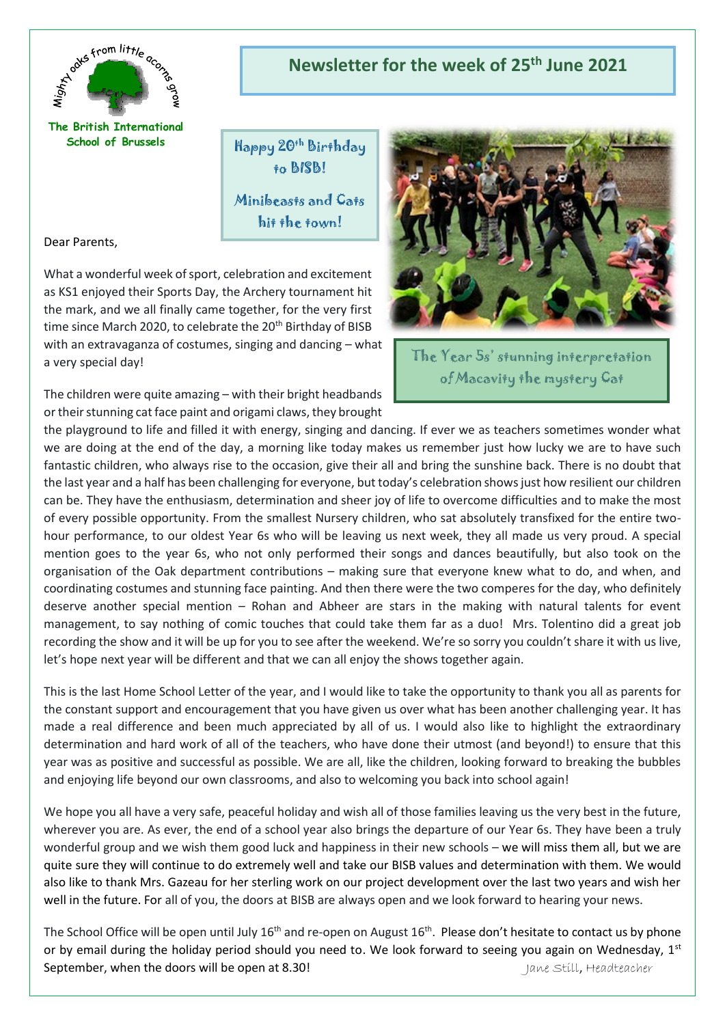

**The British International School of Brussels**

**Newsletter for the week of 25th June 2021**

Happy 20th Birthday to BISB!

Minibeasts and Cats hit the town!

Dear Parents,

What a wonderful week of sport, celebration and excitement as KS1 enjoyed their Sports Day, the Archery tournament hit the mark, and we all finally came together, for the very first time since March 2020, to celebrate the 20<sup>th</sup> Birthday of BISB with an extravaganza of costumes, singing and dancing – what a very special day!

The children were quite amazing – with their bright headbands or their stunning cat face paint and origami claws, they brought



The Year 5s' stunning interpretation of Macavity the mystery Cat

the playground to life and filled it with energy, singing and dancing. If ever we as teachers sometimes wonder what we are doing at the end of the day, a morning like today makes us remember just how lucky we are to have such fantastic children, who always rise to the occasion, give their all and bring the sunshine back. There is no doubt that the last year and a half has been challenging for everyone, but today's celebration shows just how resilient our children can be. They have the enthusiasm, determination and sheer joy of life to overcome difficulties and to make the most of every possible opportunity. From the smallest Nursery children, who sat absolutely transfixed for the entire twohour performance, to our oldest Year 6s who will be leaving us next week, they all made us very proud. A special mention goes to the year 6s, who not only performed their songs and dances beautifully, but also took on the organisation of the Oak department contributions – making sure that everyone knew what to do, and when, and coordinating costumes and stunning face painting. And then there were the two comperes for the day, who definitely deserve another special mention – Rohan and Abheer are stars in the making with natural talents for event management, to say nothing of comic touches that could take them far as a duo! Mrs. Tolentino did a great job recording the show and it will be up for you to see after the weekend. We're so sorry you couldn't share it with us live, let's hope next year will be different and that we can all enjoy the shows together again.

This is the last Home School Letter of the year, and I would like to take the opportunity to thank you all as parents for the constant support and encouragement that you have given us over what has been another challenging year. It has made a real difference and been much appreciated by all of us. I would also like to highlight the extraordinary determination and hard work of all of the teachers, who have done their utmost (and beyond!) to ensure that this year was as positive and successful as possible. We are all, like the children, looking forward to breaking the bubbles and enjoying life beyond our own classrooms, and also to welcoming you back into school again!

We hope you all have a very safe, peaceful holiday and wish all of those families leaving us the very best in the future, wherever you are. As ever, the end of a school year also brings the departure of our Year 6s. They have been a truly wonderful group and we wish them good luck and happiness in their new schools – we will miss them all, but we are quite sure they will continue to do extremely well and take our BISB values and determination with them. We would also like to thank Mrs. Gazeau for her sterling work on our project development over the last two years and wish her well in the future. For all of you, the doors at BISB are always open and we look forward to hearing your news.

The School Office will be open until July 16<sup>th</sup> and re-open on August 16<sup>th</sup>. Please don't hesitate to contact us by phone or by email during the holiday period should you need to. We look forward to seeing you again on Wednesday, 1st September, when the doors will be open at 8.30! Jane Still, Headteacher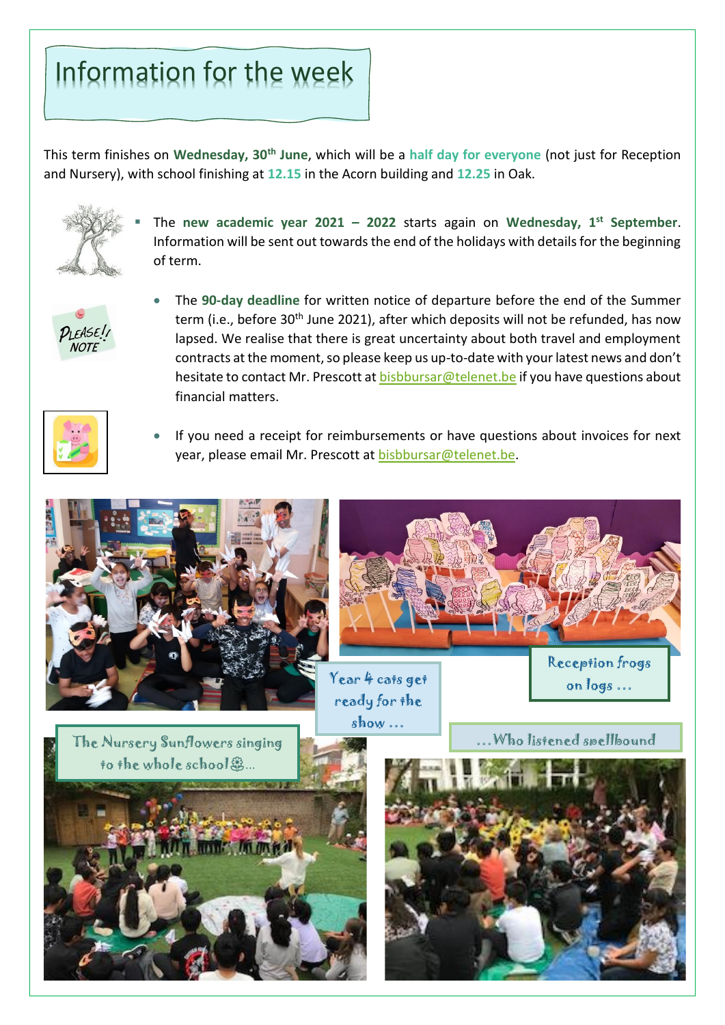# Information for the week

This term finishes on **Wednesday, 30th June**, which will be a **half day for everyone** (not just for Reception and Nursery), with school finishing at **12.15** in the Acorn building and **12.25** in Oak.



The new academic year  $2021 - 2022$  starts again on Wednesday, 1<sup>st</sup> September. Information will be sent out towards the end of the holidays with details for the beginning of term.



• The **90-day deadline** for written notice of departure before the end of the Summer term (i.e., before 30<sup>th</sup> June 2021), after which deposits will not be refunded, has now lapsed. We realise that there is great uncertainty about both travel and employment contracts at the moment, so please keep us up-to-date with your latest news and don't hesitate to contact Mr. Prescott a[t bisbbursar@telenet.be](mailto:bisbbursar@telenet.be) if you have questions about financial matters.



• If you need a receipt for reimbursements or have questions about invoices for next year, please email Mr. Prescott at [bisbbursar@telenet.be.](mailto:bisbbursar@telenet.be)





Year 4 cats get ready for the show …

The Nursery Sunflowers singing **Figure 2008** ... Who listened spellbound

on logs …



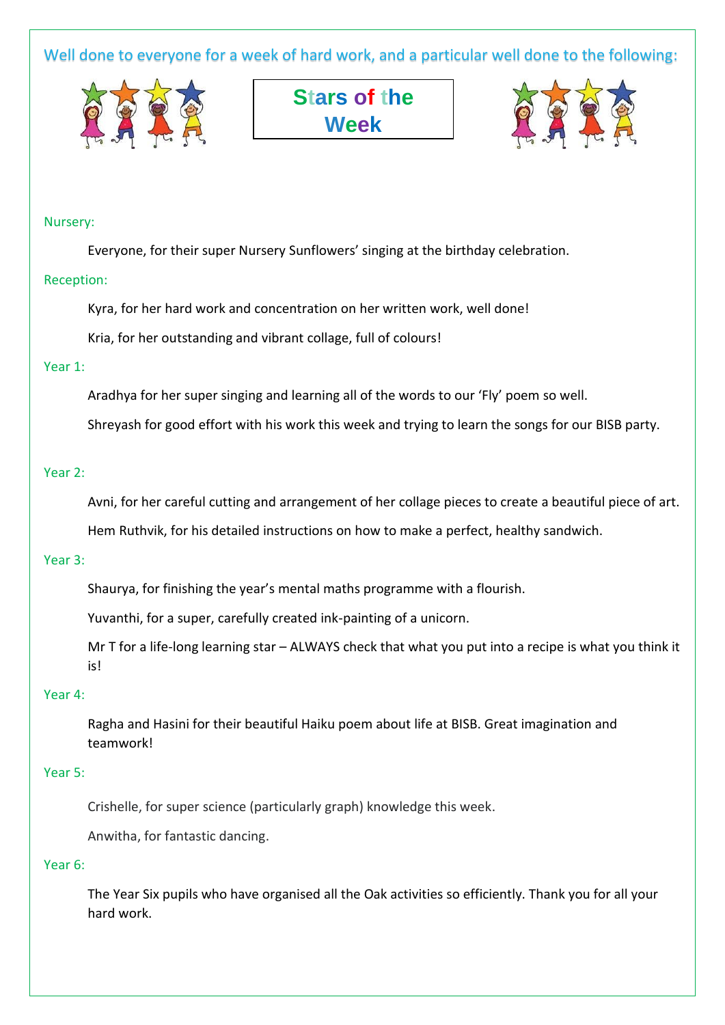Well done to everyone for a week of hard work, and a particular well done to the following:







#### Nursery:

Everyone, for their super Nursery Sunflowers' singing at the birthday celebration.

#### Reception:

Kyra, for her hard work and concentration on her written work, well done!

Kria, for her outstanding and vibrant collage, full of colours!

# Year 1:

Aradhya for her super singing and learning all of the words to our 'Fly' poem so well.

Shreyash for good effort with his work this week and trying to learn the songs for our BISB party.

## Year 2:

Avni, for her careful cutting and arrangement of her collage pieces to create a beautiful piece of art.

Hem Ruthvik, for his detailed instructions on how to make a perfect, healthy sandwich.

#### Year 3:

Shaurya, for finishing the year's mental maths programme with a flourish.

Yuvanthi, for a super, carefully created ink-painting of a unicorn.

Mr T for a life-long learning star – ALWAYS check that what you put into a recipe is what you think it is!

## Year 4:

Ragha and Hasini for their beautiful Haiku poem about life at BISB. Great imagination and teamwork!

## Year 5:

Crishelle, for super science (particularly graph) knowledge this week.

Anwitha, for fantastic dancing.

#### Year 6:

The Year Six pupils who have organised all the Oak activities so efficiently. Thank you for all your hard work.